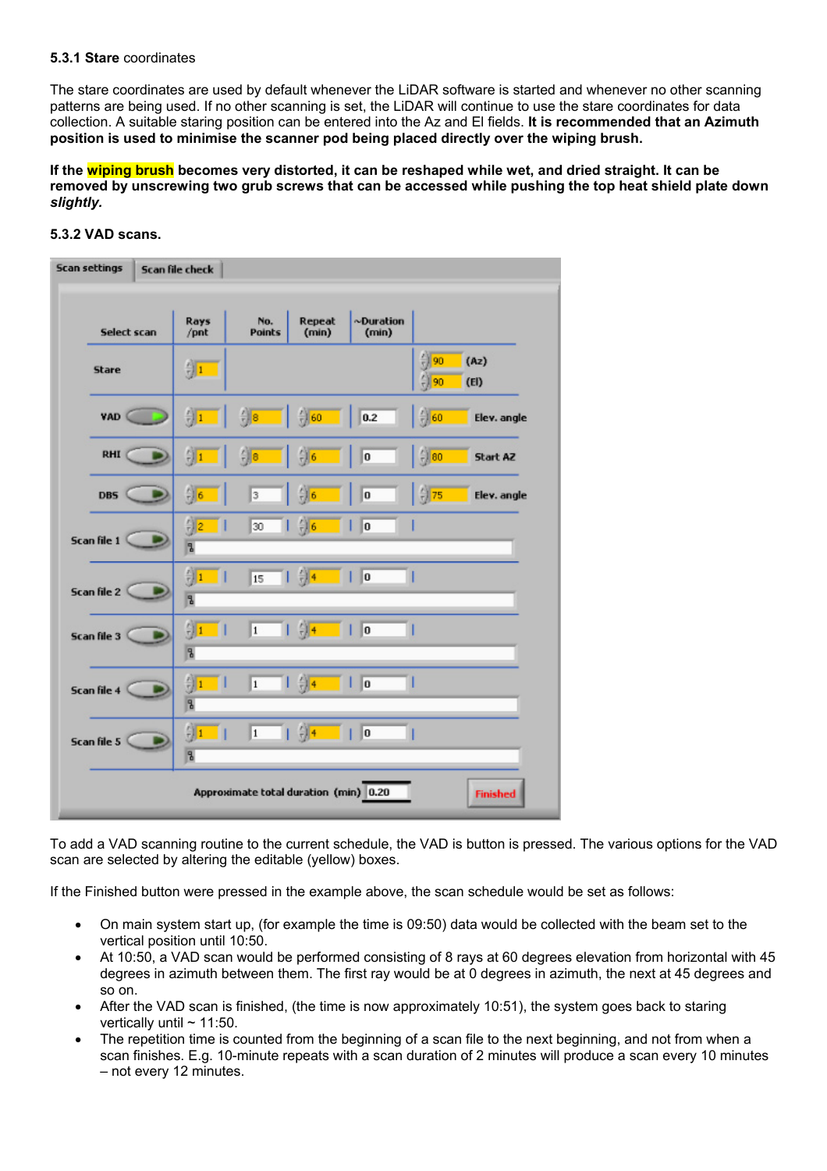#### **5.3.1 Stare** coordinates

The stare coordinates are used by default whenever the LiDAR software is started and whenever no other scanning patterns are being used. If no other scanning is set, the LiDAR will continue to use the stare coordinates for data collection. A suitable staring position can be entered into the Az and El fields. **It is recommended that an Azimuth position is used to minimise the scanner pod being placed directly over the wiping brush.**

**If the wiping brush becomes very distorted, it can be reshaped while wet, and dried straight. It can be removed by unscrewing two grub screws that can be accessed while pushing the top heat shield plate down**  *slightly.* 

# **5.3.2 VAD scans.**

| <b>Scan settings</b><br>Scan file check                  |             |                                           |                      |                   |                          |                                      |              |
|----------------------------------------------------------|-------------|-------------------------------------------|----------------------|-------------------|--------------------------|--------------------------------------|--------------|
|                                                          | Select scan | Rays<br>/pnt                              | No.<br><b>Points</b> | Repeat<br>(min)   | $\sim$ Duration<br>(min) |                                      |              |
| <b>Stare</b>                                             |             | $\frac{2}{12}$ 1                          |                      |                   |                          | $\frac{2}{3}$ 90<br>$\frac{7}{7}$ 90 | (Az)<br>(EI) |
| <b>VAD</b>                                               |             | $\frac{E}{T}$ 1                           | $\frac{1}{r}$ 8      | $^{2}$ 60         | 0.2                      | $\frac{7}{7}$ 60                     | Elev. angle  |
| RHI                                                      |             | $\frac{2}{3}$ 1                           | $-18$                | $^{46}$           | O                        | $\frac{7}{7}$ 80                     | Start AZ     |
| <b>DBS</b>                                               |             | $\frac{1}{10}$ 6                          | 3                    | $\frac{1}{7}$ 6   | ۱o                       | $\frac{7}{7}$ 75                     | Elev. angle  |
| Scan file 1                                              |             | $\frac{r}{r}$ 2<br>- 11<br>$\overline{a}$ | 30                   | $\frac{1}{2}$ 6   | lo                       |                                      |              |
| Scan file 2                                              |             | $\frac{2}{3}$ 1<br>$\overline{a}$         | 15                   | $1 - \frac{2}{3}$ | $\mathbf{I}$             |                                      |              |
| Scan file 3                                              |             | $\frac{2}{3}$ 1<br>$\overline{a}$         | $\overline{1}$       | $1 - 2 +$<br>- 11 | $\mathbf{I}$             |                                      |              |
| Scan file 4                                              |             | $\frac{2}{3}$ 1<br>ш<br>$\overline{a}$    | $\mathbf{1}$         | $1 \frac{6}{2}4$  | lo                       |                                      |              |
| Scan file 5                                              |             | $\frac{2}{3}$ 1<br>$\overline{a}$         | $\vert$ 1            | $1 \frac{2}{3}$ 4 | $\ 0\ $                  |                                      |              |
| Approximate total duration (min) 0.20<br><b>Finished</b> |             |                                           |                      |                   |                          |                                      |              |

To add a VAD scanning routine to the current schedule, the VAD is button is pressed. The various options for the VAD scan are selected by altering the editable (yellow) boxes.

If the Finished button were pressed in the example above, the scan schedule would be set as follows:

- On main system start up, (for example the time is 09:50) data would be collected with the beam set to the vertical position until 10:50.
- At 10:50, a VAD scan would be performed consisting of 8 rays at 60 degrees elevation from horizontal with 45 degrees in azimuth between them. The first ray would be at 0 degrees in azimuth, the next at 45 degrees and so on.
- After the VAD scan is finished, (the time is now approximately 10:51), the system goes back to staring vertically until  $\sim$  11:50.
- The repetition time is counted from the beginning of a scan file to the next beginning, and not from when a scan finishes. E.g. 10-minute repeats with a scan duration of 2 minutes will produce a scan every 10 minutes – not every 12 minutes.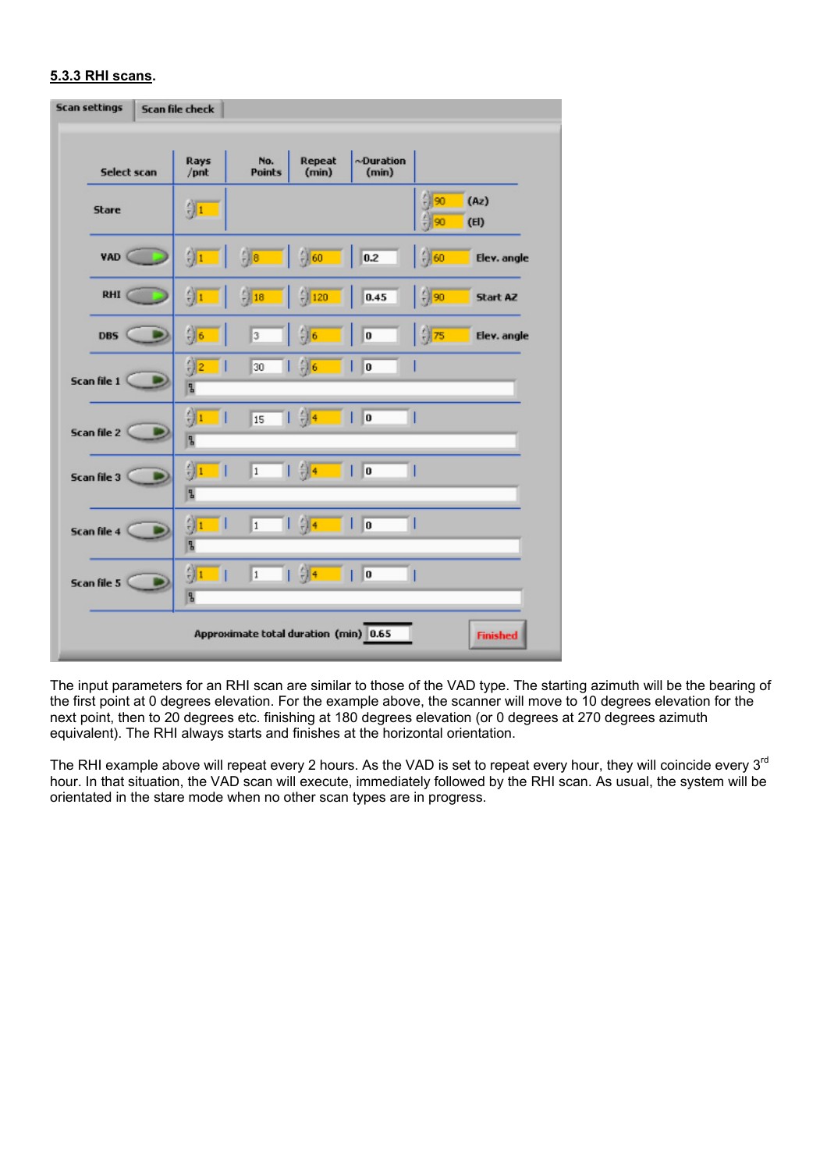# **5.3.3 RHI scans.**

| <b>Scan settings</b> | Scan file check                 |                                       |                                  |                    |                                      |                 |
|----------------------|---------------------------------|---------------------------------------|----------------------------------|--------------------|--------------------------------------|-----------------|
| Select scan          | Rays<br>$/$ pnt                 | No.<br><b>Points</b>                  | Repeat<br>(min)                  | ~Duration<br>(min) |                                      |                 |
| <b>Stare</b>         | $\frac{7}{3}$ 1                 |                                       |                                  |                    | $\frac{2}{3}$ 90<br>$\frac{2}{3}$ 90 | (Az)<br>(EI)    |
| VAD <sup>(</sup>     | $\frac{2}{3}$ 1                 | $\frac{r}{r}$ 8                       | $\frac{7}{7}$ 60                 | 0.2                | $\frac{2}{3}$ 60                     | Elev. angle     |
| <b>RHI</b>           | $\frac{2}{3}$                   | $^{2}$ 18<br>- 11                     | $\frac{2}{7}$ 120                | 0.45               | $\frac{7}{7}$ 90                     | Start AZ        |
| <b>DBS</b>           | $\frac{2}{3}$ 6                 | 3                                     | $^{47}_{7}$ 6                    | o                  | $\frac{7}{2}$ 75                     | Elev. angle     |
| Scan file 1          | $\frac{7}{3}$ 2<br>ш<br>E       | 30                                    | $\left  \right $ $\frac{2}{3}$ 6 | $\ 0\ $<br>n l     |                                      |                 |
| Scan file 2          | 领工<br>п<br>E                    | 15                                    | $\overline{1}$ $\frac{4}{9}$     | 0<br>П             |                                      |                 |
| Scan file 3          | $\frac{2}{3}$<br>П<br>2         | $\overline{1}$                        | $\frac{4}{3}$                    | П<br>$\ 0\ $       |                                      |                 |
| Scan file 4          | $\frac{r}{r}$ 1<br>Ш<br>5       | $\vert$ 1                             | $\frac{7}{2}$ 1                  | $\sqrt{0}$         |                                      |                 |
| Scan file 5          | $\frac{1}{2}$<br>$\overline{a}$ | $\vert$ 1                             | $\frac{1}{2}$                    | $\ 0\ $            |                                      |                 |
|                      |                                 | Approximate total duration (min) 0.65 |                                  |                    |                                      | <b>Finished</b> |

The input parameters for an RHI scan are similar to those of the VAD type. The starting azimuth will be the bearing of the first point at 0 degrees elevation. For the example above, the scanner will move to 10 degrees elevation for the next point, then to 20 degrees etc. finishing at 180 degrees elevation (or 0 degrees at 270 degrees azimuth equivalent). The RHI always starts and finishes at the horizontal orientation.

The RHI example above will repeat every 2 hours. As the VAD is set to repeat every hour, they will coincide every 3<sup>rd</sup> hour. In that situation, the VAD scan will execute, immediately followed by the RHI scan. As usual, the system will be orientated in the stare mode when no other scan types are in progress.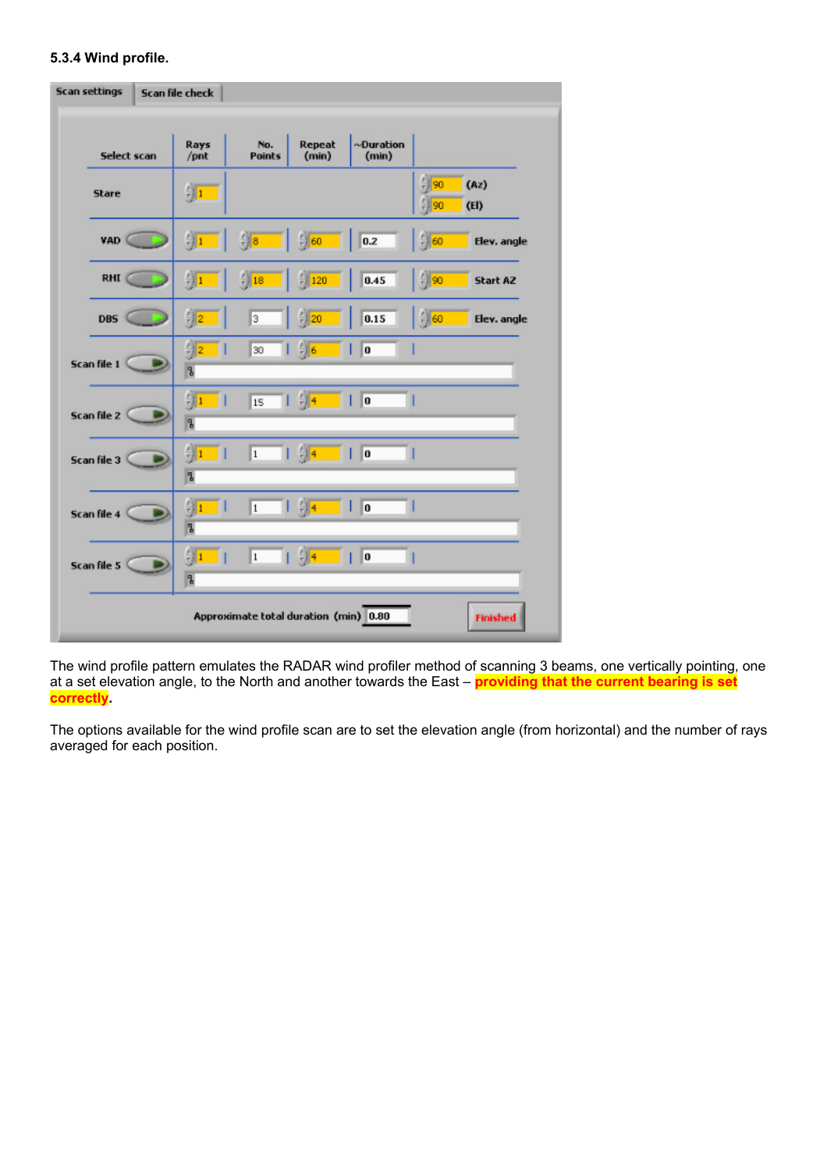# **5.3.4 Wind profile.**

| <b>Scan settings</b><br>Scan file check                  |  |                                           |                      |                                                                                     |                                              |                              |              |
|----------------------------------------------------------|--|-------------------------------------------|----------------------|-------------------------------------------------------------------------------------|----------------------------------------------|------------------------------|--------------|
| Select scan                                              |  | Rays<br>/pnt                              | No.<br><b>Points</b> | Repeat<br>(min)                                                                     | $\sim$ Duration<br>(min)                     |                              |              |
| <b>Stare</b>                                             |  | $\frac{\kappa}{\pi}$ 1                    |                      |                                                                                     |                                              | $^{2}$ 90<br>$^{21}_{12}$ 90 | (Az)<br>(EI) |
| <b>VAD</b>                                               |  | $\frac{E}{12}$ 1                          | $\frac{1}{2}$ 8      | $\frac{2}{7}$ 60                                                                    | 0.2                                          | $\frac{1}{10}$ 60            | Elev. angle  |
| <b>RHI</b>                                               |  | $\frac{F_{\text{H}}}{F_{\text{H}}}$ 1     | $\frac{2}{3}$ 18     | $\frac{2}{7}$ 120                                                                   | 0.45                                         | $\frac{2}{7}$ 90             | Start AZ     |
| <b>DBS</b>                                               |  | $\frac{1}{12}$ 2                          | 3                    | $\frac{2}{7}$ 20                                                                    | 0.15                                         | $\frac{7}{10}$ 60            | Elev. angle  |
| Scan file 1                                              |  | $\frac{E}{T}$ 2<br>$\overline{a}$         | 30                   | $\frac{2}{7}$ 6<br>п                                                                | o                                            |                              |              |
| Scan file 2                                              |  | $\frac{2}{3}$ 1<br>- 1<br>$\overline{a}$  | 15                   | $1 \frac{2}{3}$ 4 1 0                                                               |                                              |                              |              |
| Scan file 3                                              |  | $\frac{2}{2}$ 1<br>- 11<br>P.             | $\overline{1}$       | $  \frac{4}{7}$                                                                     | $\blacksquare$ $\blacksquare$ $\blacksquare$ |                              |              |
| Scan file 4                                              |  | $\frac{r}{r}$ 1<br>a se<br>$\overline{a}$ | $\mathbf{1}$         | $\frac{7}{7}$ 4<br>. .                                                              | $\blacksquare$                               |                              |              |
| Scan file 5                                              |  | $\frac{1}{2}$ 1<br>П<br>$\overline{a}$    | 1                    | $\frac{1}{2}$ $\frac{1}{2}$ $\frac{1}{2}$ $\frac{1}{2}$ $\frac{1}{2}$ $\frac{1}{2}$ | lo                                           |                              |              |
| Approximate total duration (min) 0.80<br><b>Finished</b> |  |                                           |                      |                                                                                     |                                              |                              |              |

The wind profile pattern emulates the RADAR wind profiler method of scanning 3 beams, one vertically pointing, one at a set elevation angle, to the North and another towards the East – **providing that the current bearing is set correctly.**

The options available for the wind profile scan are to set the elevation angle (from horizontal) and the number of rays averaged for each position.